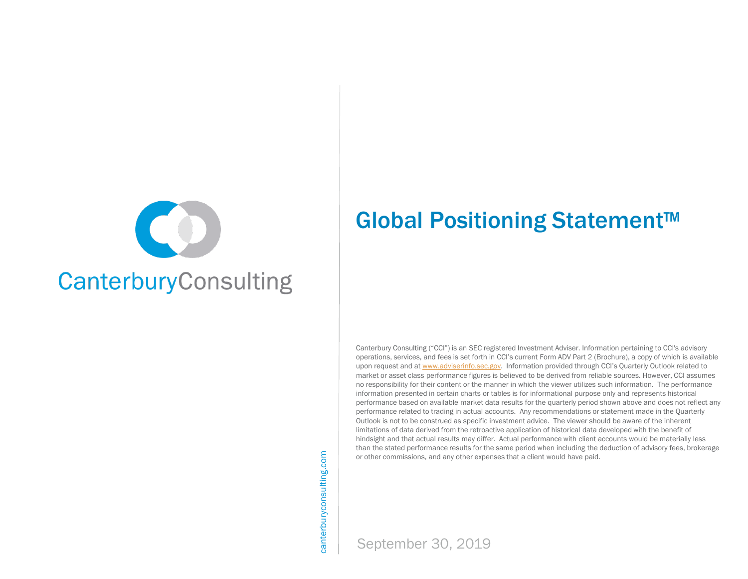

canterburyconsulting.com canterburyconsulting.com Global Positioning Statement™

upon request and at [www.adviserinfo.sec.gov](http://www.adviserinfo.sec.gov/). Information provided through CCI's Quarterly Outlook related to<br>market or asset class performance figures is believed to be derived from reliable sources. However, CCI assume Canterbury Consulting ("CCI") is an SEC registered Investment Adviser. Information pertaining to CCI's advisory operations, services, and fees is set forth in CCI's current Form ADV Part 2 (Brochure), a copy of which is available market or asset class performance figures is believed to be derived from reliable sources. However, CCI assumes no responsibility for their content or the manner in which the viewer utilizes such information. The performance information presented in certain charts or tables is for informational purpose only and represents historical performance based on available market data results for the quarterly period shown above and does not reflect any performance related to trading in actual accounts. Any recommendations or statement made in the Quarterly Outlook is not to be construed as specific investment advice. The viewer should be aware of the inherent limitations of data derived from the retroactive application of historical data developed with the benefit of hindsight and that actual results may differ. Actual performance with client accounts would be materially less than the stated performance results for the same period when including the deduction of advisory fees, brokerage or other commissions, and any other expenses that a client would have paid.

September 30, 2019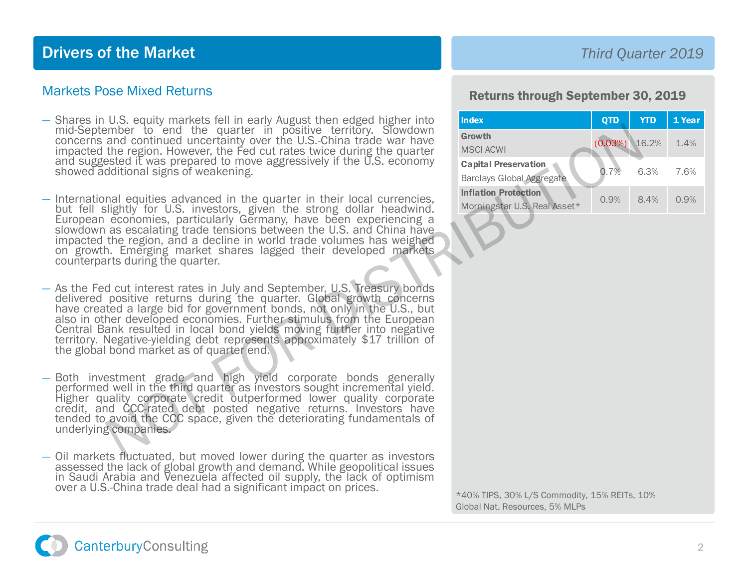## Drivers of the Market

#### Markets Pose Mixed Returns

- Shares in U.S. equity markets fell in early August then edged higher into mid-September to end the quarter in positive territory. Slowdown concerns and continued uncertainty over the U.S.-China trade war have impacted the region. However, the Fed cut rates twice during the quarter and suggested it was prepared to move aggressively if the U.S. economy showed additional signs of weakening.
- International equities advanced in the quarter in their local currencies, but fell slightly for U.S. investors, given the strong dollar headwind. European economies, particularly Germany, have been experiencing <sup>a</sup> slowdown as escalating trade tensions between the U.S. and China have impacted the region, and a decline in world trade volumes has weighed on growth. Emerging market shares lagged their developed markets counterparts during the quarter. molecular contracts in positive territory. Sowdown<br>
the region. However, the Pout rates twice during the quarter in the current in the region. However, the Ford contracts that the region since and the state of the U.S. eco
- As the Fed cut interest rates in July and September, U.S. Treasury bonds delivered positive returns during the quarter. Global growth concerns have created a large bid for government bonds, not only in the U.S., but also in other developed economies. Further stimulus from the European Central Bank resulted in local bond yields moving further into negative territory. Negative-yielding debt represents approximately \$17 trillion of the global bond market as of quarter end.
- Both investment grade and high yield corporate bonds generally performed well in the third quarter as investors sought incremental yield. Higher quality corporate credit outperformed lower quality corporate credit, and CCC-rated debt posted negative returns. Investors have tended to avoid the CCC space, given the deteriorating fundamentals of underlying companies.
- Oil markets fluctuated, but moved lower during the quarter as investors assessed the lack of global growth and demand. While geopolitical issues in Saudi Arabia and Venezuela affected oil supply, the lack of optimism over a U.S.-China trade deal had a significant impact on prices.<br>\*40% TIPS, 30% L/S Commodity, 15% REITs, 10%

### *Third Quarter 2019*

#### Returns through September 30, 2019

| Index                                                           | <b>QTD</b> | <b>YTD</b> | 1 Year |
|-----------------------------------------------------------------|------------|------------|--------|
| Growth<br><b>MSCI ACWI</b>                                      | (0.03%)    | 16.2%      | 1.4%   |
| <b>Capital Preservation</b><br><b>Barclays Global Aggregate</b> | 0.7%       | 6.3%       | 7.6%   |
| <b>Inflation Protection</b><br>Morningstar U.S. Real Asset*     | 0.9%       | 84%        | 0.9%   |

Global Nat. Resources, 5% MLPs

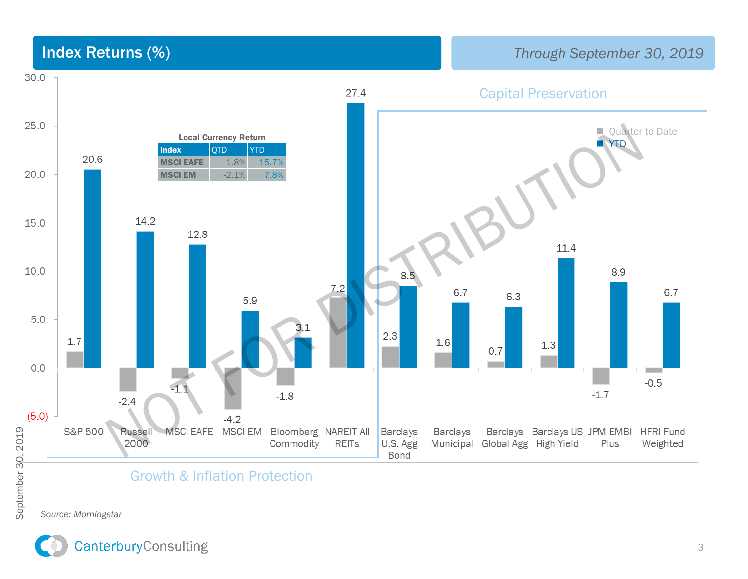

*Source: Morningstar Source: Morningstar*

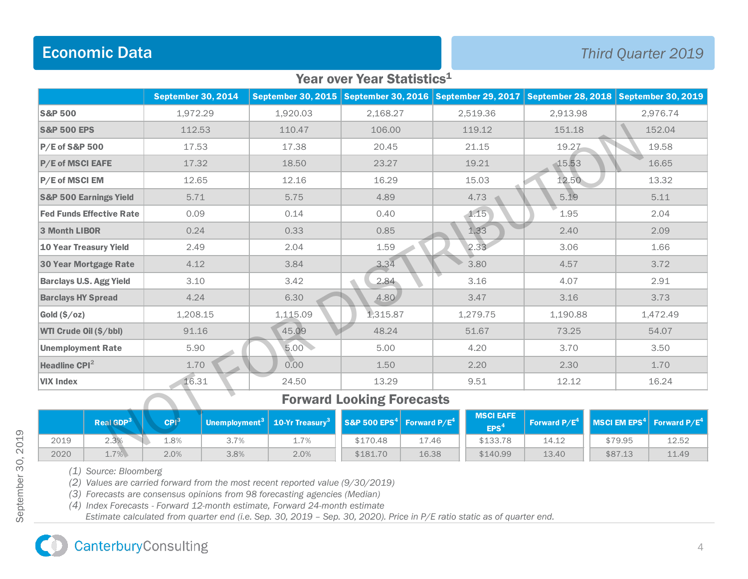# Economic Data *Third Quarter 2019*

#### Year over Year Statistics<sup>1</sup>

|                                   | <b>September 30, 2014</b> |              | September 30, 2015   September 30, 2016   September 29, 2017   September 28, 2018 |          |          | <b>September 30, 2019</b> |  |
|-----------------------------------|---------------------------|--------------|-----------------------------------------------------------------------------------|----------|----------|---------------------------|--|
| <b>S&amp;P 500</b>                | 1,972.29                  | 1,920.03     | 2,168.27                                                                          | 2,519.36 | 2,913.98 | 2,976.74                  |  |
| <b>S&amp;P 500 EPS</b>            | 112.53                    | 110.47       | 106.00                                                                            | 119.12   | 151.18   | 152.04                    |  |
| P/E of S&P 500                    | 17.53                     | 17.38        | 20.45                                                                             | 21.15    | 19.27    | 19.58                     |  |
| <b>P/E of MSCI EAFE</b>           | 17.32                     | 18.50        | 23.27                                                                             | 19.21    | 15.53    | 16.65                     |  |
| P/E of MSCI EM                    | 12.65                     | 12.16        | 16.29                                                                             | 15.03    | 12.50    | 13.32                     |  |
| <b>S&amp;P 500 Earnings Yield</b> | 5.71                      | 5.75         | 4.89                                                                              | 4.73     | 5.19     | 5.11                      |  |
| <b>Fed Funds Effective Rate</b>   | 0.09                      | 0.14         | 0.40                                                                              | 1.15     | 1.95     | 2.04                      |  |
| 3 Month LIBOR                     | 0.24                      | 0.33         | 0.85                                                                              | 1.33     | 2.40     | 2.09                      |  |
| <b>10 Year Treasury Yield</b>     | 2.49                      | 2.04         | 1.59                                                                              | 2.33     | 3.06     | 1.66                      |  |
| 30 Year Mortgage Rate             | 4.12                      | 3.84         | 3.34                                                                              | 3.80     | 4.57     | 3.72                      |  |
| <b>Barclays U.S. Agg Yield</b>    | 3.10                      | 3.42         | 2.84                                                                              | 3.16     | 4.07     | 2.91                      |  |
| <b>Barclays HY Spread</b>         | 4.24                      | 6.30         | 4.80                                                                              | 3.47     | 3.16     | 3.73                      |  |
| Gold $(\$/oz)$                    | 1,208.15                  | 1,115.09     | 1,315.87                                                                          | 1,279.75 | 1,190.88 | 1,472.49                  |  |
| WTI Crude Oil (\$/bbl)            | 91.16                     | 45.09        | 48.24                                                                             | 51.67    | 73.25    | 54.07                     |  |
| <b>Unemployment Rate</b>          | 5.90                      | 5.00         | 5.00                                                                              | 4.20     | 3.70     | 3.50                      |  |
| Headline CPI <sup>2</sup>         | 1.70                      | 0.00         | 1.50                                                                              | 2.20     | 2.30     | 1.70                      |  |
| <b>VIX Index</b>                  | 16.31                     | 24.50<br>. . | 13.29                                                                             | 9.51     | 12.12    | 16.24                     |  |

### Forward Looking Forecasts<sup>1</sup>

| VIX Index                        |                       | 16.31            |      | 24.50                                                                                                         | 13.29    |       | 9.51                                 | 12.12 |                                                          | 16.24 |
|----------------------------------|-----------------------|------------------|------|---------------------------------------------------------------------------------------------------------------|----------|-------|--------------------------------------|-------|----------------------------------------------------------|-------|
| <b>Forward Looking Forecasts</b> |                       |                  |      |                                                                                                               |          |       |                                      |       |                                                          |       |
|                                  | Real GDP <sup>3</sup> | CPI <sup>3</sup> |      | Unemployment <sup>3</sup>   10-Yr Treasury <sup>3</sup>   S&P 500 EPS <sup>4</sup>   Forward P/E <sup>4</sup> |          |       | <b>MSCI EAFE</b><br>EPS <sup>4</sup> |       | Forward $P/E^4$ MSCI EM EPS <sup>4</sup> Forward $P/E^4$ |       |
| 2019                             | 2.3%                  | 1.8%             | 3.7% | 1.7%                                                                                                          | \$170.48 | 17.46 | \$133.78                             | 14.12 | \$79.95                                                  | 12.52 |
| 2020                             | 1.7%                  | 2.0%             | 3.8% | 2.0%                                                                                                          | \$181.70 | 16.38 | \$140.99                             | 13.40 | \$87.13                                                  | 11.49 |

*(1) Source: Bloomberg*

*(2) Values are carried forward from the most recent reported value (9/30/2019)*

*(3) Forecasts are consensus opinions from 98 forecasting agencies (Median)*

*(4) Index Forecasts - Forward 12-month estimate, Forward 24-month estimate*

*Estimate calculated from quarter end (i.e. Sep. 30, 2019 – Sep. 30, 2020). Price in P/E ratio static as of quarter end.*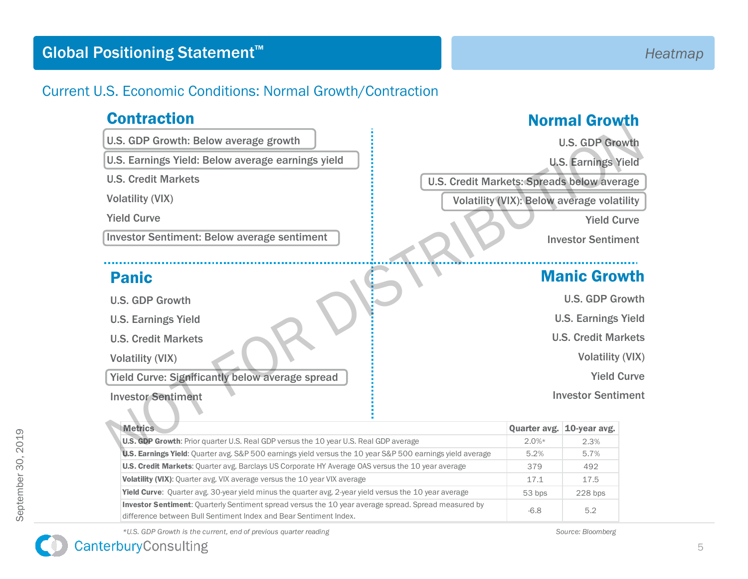## Current U.S. Economic Conditions: Normal Growth/Contraction

## **Contraction**

- U.S. GDP Growth: Below average growth
- U.S. Earnings Yield: Below average earnings yield
- U.S. Credit Markets
- Volatility (VIX)

# Panic

- U.S. GDP Growth
- U.S. Earnings Yield
- U.S. Credit Markets

#### Investor Sentiment

# Normal Growth

# Manic Growth

| U.S. GDP Growth: Below average growth                                                                                                                                     |                                            | <b>U.S. GDP Growth</b>     |  |  |
|---------------------------------------------------------------------------------------------------------------------------------------------------------------------------|--------------------------------------------|----------------------------|--|--|
| U.S. Earnings Yield: Below average earnings yield                                                                                                                         | <b>U.S. Earnings Yield</b>                 |                            |  |  |
| <b>U.S. Credit Markets</b>                                                                                                                                                | U.S. Credit Markets: Spreads below average |                            |  |  |
| <b>Volatility (VIX)</b>                                                                                                                                                   | Volatility (VIX): Below average volatility |                            |  |  |
| <b>Yield Curve</b>                                                                                                                                                        | <b>Yield Curve</b>                         |                            |  |  |
| <b>Investor Sentiment: Below average sentiment</b>                                                                                                                        |                                            | <b>Investor Sentiment</b>  |  |  |
| <b>Panic</b>                                                                                                                                                              |                                            | <b>Manic Growth</b>        |  |  |
| <b>U.S. GDP Growth</b>                                                                                                                                                    | <b>U.S. GDP Growth</b>                     |                            |  |  |
| <b>U.S. Earnings Yield</b>                                                                                                                                                |                                            | <b>U.S. Earnings Yield</b> |  |  |
| <b>U.S. Credit Markets</b>                                                                                                                                                |                                            | <b>U.S. Credit Markets</b> |  |  |
| <b>Volatility (VIX)</b>                                                                                                                                                   |                                            | <b>Volatility (VIX)</b>    |  |  |
| Yield Curve: Significantly below average spread                                                                                                                           |                                            | <b>Yield Curve</b>         |  |  |
| <b>Investor Sentiment</b>                                                                                                                                                 |                                            | <b>Investor Sentiment</b>  |  |  |
| <b>Metrics</b>                                                                                                                                                            |                                            | Quarter avg. 10-year avg.  |  |  |
| <b>U.S. GDP Growth:</b> Prior quarter U.S. Real GDP versus the 10 year U.S. Real GDP average                                                                              | $2.0%$ *                                   | 2.3%                       |  |  |
| U.S. Earnings Yield: Quarter avg. S&P 500 earnings yield versus the 10 year S&P 500 earnings yield average                                                                | 5.2%                                       | 5.7%                       |  |  |
| U.S. Credit Markets: Quarter avg. Barclays US Corporate HY Average OAS versus the 10 year average                                                                         | 379                                        | 492                        |  |  |
| Volatility (VIX): Quarter avg. VIX average versus the 10 year VIX average                                                                                                 | 17.1                                       | 17.5                       |  |  |
| <b>Yield Curve:</b> Ouarter avg. 30-year yield minus the quarter avg. 2-year yield versus the 10 year average                                                             | 53 bps                                     | 228 bps                    |  |  |
| Investor Sentiment: Quarterly Sentiment spread versus the 10 year average spread. Spread measured by<br>difference between Bull Sentiment Index and Bear Sentiment Index. | $-6.8$                                     | 5.2                        |  |  |

*\*U.S. GDP Growth is the current, end of previous quarter reading Source: Bloomberg*

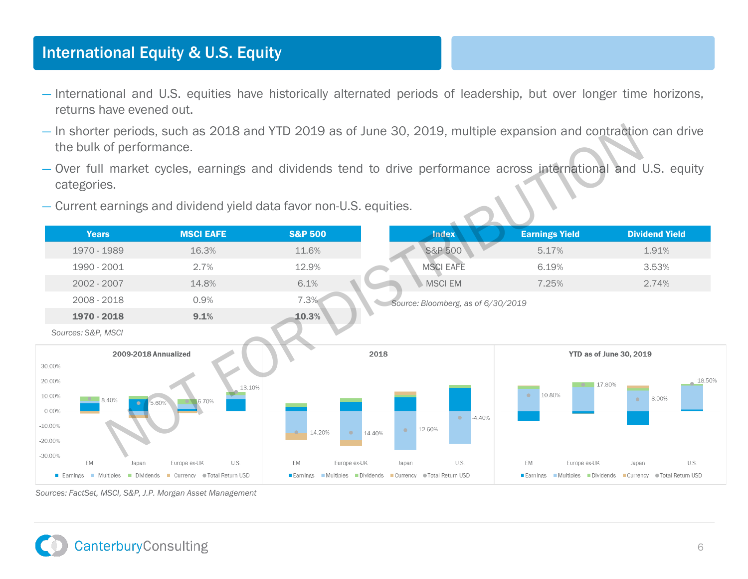# International Equity & U.S. Equity

- International and U.S. equities have historically alternated periods of leadership, but over longer time horizons, returns have evened out.
- In shorter periods, such as 2018 and YTD 2019 as of June 30, 2019, multiple expansion and contraction can drive the bulk of performance.
- Over full market cycles, earnings and dividends tend to drive performance across international and U.S. equity categories.
- Current earnings and dividend yield data favor non-U.S. equities.



*Sources: FactSet, MSCI, S&P, J.P. Morgan Asset Management*